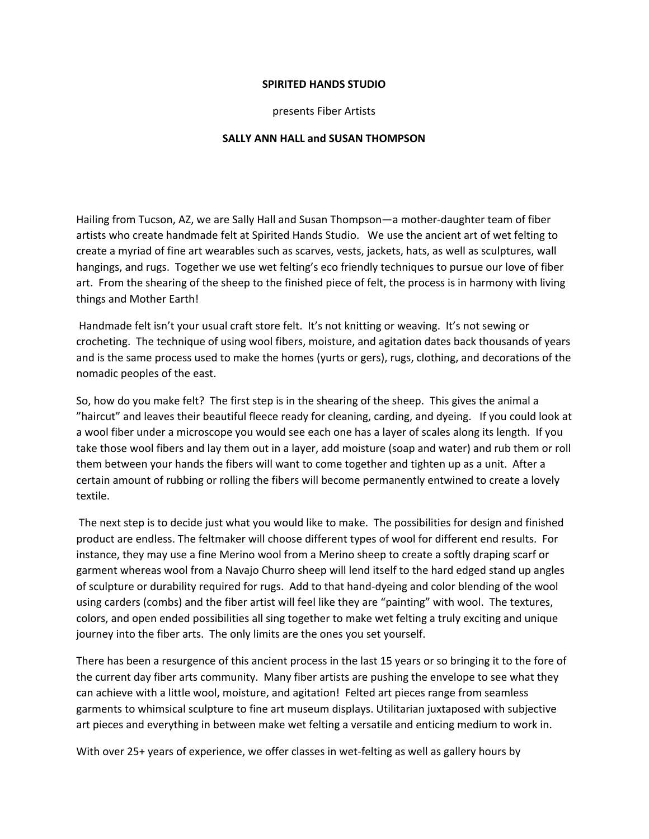## **SPIRITED HANDS STUDIO**

presents Fiber Artists

## **SALLY ANN HALL and SUSAN THOMPSON**

Hailing from Tucson, AZ, we are Sally Hall and Susan Thompson—a mother-daughter team of fiber artists who create handmade felt at Spirited Hands Studio. We use the ancient art of wet felting to create a myriad of fine art wearables such as scarves, vests, jackets, hats, as well as sculptures, wall hangings, and rugs. Together we use wet felting's eco friendly techniques to pursue our love of fiber art. From the shearing of the sheep to the finished piece of felt, the process is in harmony with living things and Mother Earth!

 Handmade felt isn't your usual craft store felt. It's not knitting or weaving. It's not sewing or crocheting. The technique of using wool fibers, moisture, and agitation dates back thousands of years and is the same process used to make the homes (yurts or gers), rugs, clothing, and decorations of the nomadic peoples of the east.

So, how do you make felt? The first step is in the shearing of the sheep. This gives the animal a "haircut" and leaves their beautiful fleece ready for cleaning, carding, and dyeing. If you could look at a wool fiber under a microscope you would see each one has a layer of scales along its length. If you take those wool fibers and lay them out in a layer, add moisture (soap and water) and rub them or roll them between your hands the fibers will want to come together and tighten up as a unit. After a certain amount of rubbing or rolling the fibers will become permanently entwined to create a lovely textile.

 The next step is to decide just what you would like to make. The possibilities for design and finished product are endless. The feltmaker will choose different types of wool for different end results. For instance, they may use a fine Merino wool from a Merino sheep to create a softly draping scarf or garment whereas wool from a Navajo Churro sheep will lend itself to the hard edged stand up angles of sculpture or durability required for rugs. Add to that hand-dyeing and color blending of the wool using carders (combs) and the fiber artist will feel like they are "painting" with wool. The textures, colors, and open ended possibilities all sing together to make wet felting a truly exciting and unique journey into the fiber arts. The only limits are the ones you set yourself.

There has been a resurgence of this ancient process in the last 15 years or so bringing it to the fore of the current day fiber arts community. Many fiber artists are pushing the envelope to see what they can achieve with a little wool, moisture, and agitation! Felted art pieces range from seamless garments to whimsical sculpture to fine art museum displays. Utilitarian juxtaposed with subjective art pieces and everything in between make wet felting a versatile and enticing medium to work in.

With over 25+ years of experience, we offer classes in wet-felting as well as gallery hours by